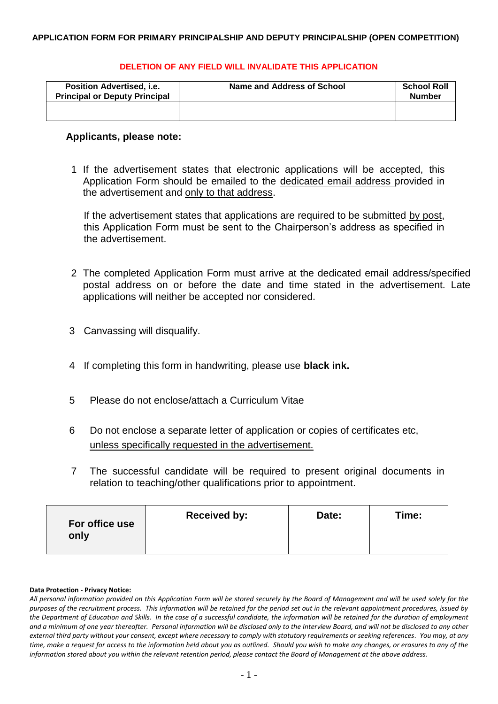### **DELETION OF ANY FIELD WILL INVALIDATE THIS APPLICATION**

| <b>Position Advertised, i.e.</b><br><b>Principal or Deputy Principal</b> | Name and Address of School | <b>School Roll</b><br><b>Number</b> |
|--------------------------------------------------------------------------|----------------------------|-------------------------------------|
|                                                                          |                            |                                     |

### **Applicants, please note:**

1 If the advertisement states that electronic applications will be accepted, this Application Form should be emailed to the dedicated email address provided in the advertisement and only to that address.

If the advertisement states that applications are required to be submitted by post, this Application Form must be sent to the Chairperson's address as specified in the advertisement.

- 2 The completed Application Form must arrive at the dedicated email address/specified postal address on or before the date and time stated in the advertisement. Late applications will neither be accepted nor considered.
- 3 Canvassing will disqualify.
- 4 If completing this form in handwriting, please use **black ink.**
- 5 Please do not enclose/attach a Curriculum Vitae
- 6 Do not enclose a separate letter of application or copies of certificates etc, unless specifically requested in the advertisement.
- 7 The successful candidate will be required to present original documents in relation to teaching/other qualifications prior to appointment.

| For office use<br>only | <b>Received by:</b> | Date: | Time: |
|------------------------|---------------------|-------|-------|
|                        |                     |       |       |

#### **Data Protection - Privacy Notice:**

*All personal information provided on this Application Form will be stored securely by the Board of Management and will be used solely for the purposes of the recruitment process. This information will be retained for the period set out in the relevant appointment procedures, issued by the Department of Education and Skills. In the case of a successful candidate, the information will be retained for the duration of employment and a minimum of one year thereafter. Personal information will be disclosed only to the Interview Board, and will not be disclosed to any other external third party without your consent, except where necessary to comply with statutory requirements or seeking references. You may, at any time, make a request for access to the information held about you as outlined. Should you wish to make any changes, or erasures to any of the information stored about you within the relevant retention period, please contact the Board of Management at the above address.*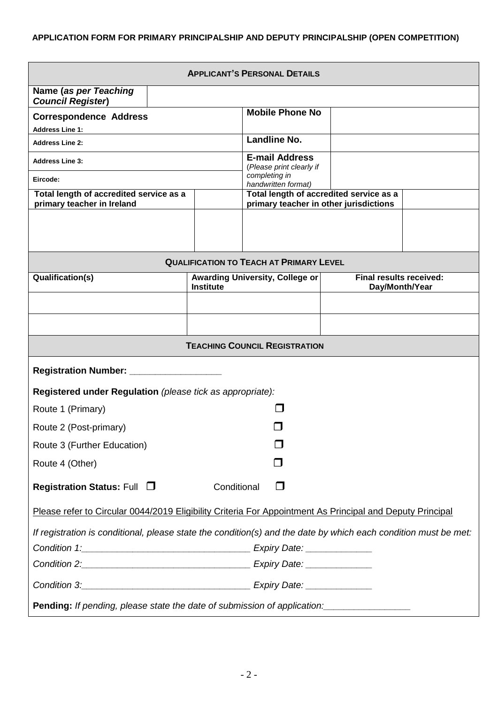| <b>APPLICANT'S PERSONAL DETAILS</b>                                                                             |                  |                                                                                   |                                                  |  |
|-----------------------------------------------------------------------------------------------------------------|------------------|-----------------------------------------------------------------------------------|--------------------------------------------------|--|
| Name (as per Teaching<br><b>Council Register)</b>                                                               |                  |                                                                                   |                                                  |  |
| <b>Correspondence Address</b>                                                                                   |                  | <b>Mobile Phone No</b>                                                            |                                                  |  |
| <b>Address Line 1:</b>                                                                                          |                  |                                                                                   |                                                  |  |
| <b>Address Line 2:</b>                                                                                          |                  | <b>Landline No.</b>                                                               |                                                  |  |
| <b>Address Line 3:</b>                                                                                          |                  | <b>E-mail Address</b><br>(Please print clearly if                                 |                                                  |  |
| Eircode:                                                                                                        |                  | completing in<br>handwritten format)                                              |                                                  |  |
| Total length of accredited service as a<br>primary teacher in Ireland                                           |                  | Total length of accredited service as a<br>primary teacher in other jurisdictions |                                                  |  |
|                                                                                                                 |                  |                                                                                   |                                                  |  |
|                                                                                                                 |                  | <b>QUALIFICATION TO TEACH AT PRIMARY LEVEL</b>                                    |                                                  |  |
| Qualification(s)                                                                                                | <b>Institute</b> | <b>Awarding University, College or</b>                                            | <b>Final results received:</b><br>Day/Month/Year |  |
|                                                                                                                 |                  |                                                                                   |                                                  |  |
|                                                                                                                 |                  |                                                                                   |                                                  |  |
|                                                                                                                 |                  | <b>TEACHING COUNCIL REGISTRATION</b>                                              |                                                  |  |
| <b>Registration Number:</b>                                                                                     |                  |                                                                                   |                                                  |  |
| Registered under Regulation (please tick as appropriate):                                                       |                  |                                                                                   |                                                  |  |
| Route 1 (Primary)                                                                                               |                  |                                                                                   |                                                  |  |
| Route 2 (Post-primary)                                                                                          |                  |                                                                                   |                                                  |  |
| Route 3 (Further Education)                                                                                     |                  |                                                                                   |                                                  |  |
| Route 4 (Other)                                                                                                 |                  |                                                                                   |                                                  |  |
| <b>Registration Status: Full □</b><br>Conditional<br>H                                                          |                  |                                                                                   |                                                  |  |
| Please refer to Circular 0044/2019 Eligibility Criteria For Appointment As Principal and Deputy Principal       |                  |                                                                                   |                                                  |  |
| If registration is conditional, please state the condition(s) and the date by which each condition must be met: |                  |                                                                                   |                                                  |  |
|                                                                                                                 |                  |                                                                                   |                                                  |  |
| Condition 2: Condition 2: Condition 2:                                                                          |                  |                                                                                   |                                                  |  |
| Condition 3: Condition 3:                                                                                       |                  |                                                                                   |                                                  |  |
| Pending: If pending, please state the date of submission of application:                                        |                  |                                                                                   |                                                  |  |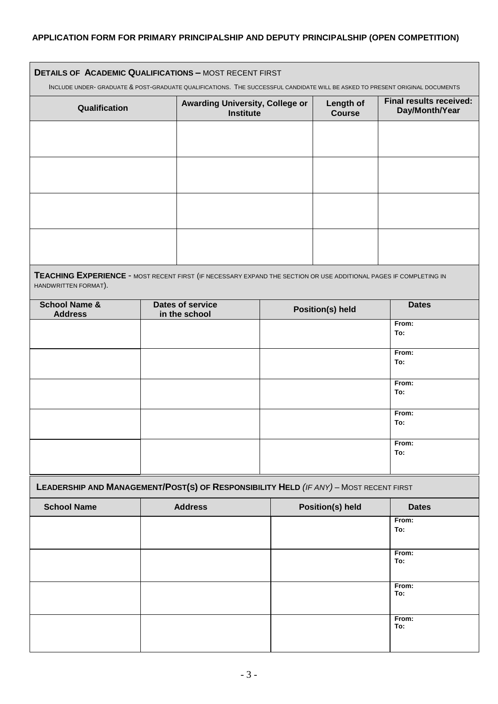| <b>DETAILS OF ACADEMIC QUALIFICATIONS - MOST RECENT FIRST</b><br>INCLUDE UNDER- GRADUATE & POST-GRADUATE QUALIFICATIONS. THE SUCCESSFUL CANDIDATE WILL BE ASKED TO PRESENT ORIGINAL DOCUMENTS |                                                     |                            |                                                  |  |
|-----------------------------------------------------------------------------------------------------------------------------------------------------------------------------------------------|-----------------------------------------------------|----------------------------|--------------------------------------------------|--|
| Qualification                                                                                                                                                                                 | Awarding University, College or<br><b>Institute</b> | Length of<br><b>Course</b> | <b>Final results received:</b><br>Day/Month/Year |  |
|                                                                                                                                                                                               |                                                     |                            |                                                  |  |
|                                                                                                                                                                                               |                                                     |                            |                                                  |  |
|                                                                                                                                                                                               |                                                     |                            |                                                  |  |
|                                                                                                                                                                                               |                                                     |                            |                                                  |  |
|                                                                                                                                                                                               |                                                     |                            |                                                  |  |

**TEACHING EXPERIENCE** - MOST RECENT FIRST (IF NECESSARY EXPAND THE SECTION OR USE ADDITIONAL PAGES IF COMPLETING IN HANDWRITTEN FORMAT).

| <b>School Name &amp;</b><br><b>Address</b> | Dates of service<br>in the school | <b>Position(s) held</b> | <b>Dates</b> |
|--------------------------------------------|-----------------------------------|-------------------------|--------------|
|                                            |                                   |                         | From:        |
|                                            |                                   |                         | To:          |
|                                            |                                   |                         |              |
|                                            |                                   |                         | From:        |
|                                            |                                   |                         | To:          |
|                                            |                                   |                         |              |
|                                            |                                   |                         | From:        |
|                                            |                                   |                         | To:          |
|                                            |                                   |                         |              |
|                                            |                                   |                         | From:        |
|                                            |                                   |                         | To:          |
|                                            |                                   |                         |              |
|                                            |                                   |                         | From:        |
|                                            |                                   |                         | To:          |
|                                            |                                   |                         |              |
|                                            |                                   |                         |              |

# **LEADERSHIP AND MANAGEMENT/POST(S) OF RESPONSIBILITY HELD** *(IF ANY)* – MOST RECENT FIRST

| <b>School Name</b> | <b>Address</b> | <b>Position(s) held</b> | <b>Dates</b> |
|--------------------|----------------|-------------------------|--------------|
|                    |                |                         | From:        |
|                    |                |                         | To:          |
|                    |                |                         |              |
|                    |                |                         | From:        |
|                    |                |                         | To:          |
|                    |                |                         |              |
|                    |                |                         | From:        |
|                    |                |                         | To:          |
|                    |                |                         |              |
|                    |                |                         | From:        |
|                    |                |                         | To:          |
|                    |                |                         |              |
|                    |                |                         |              |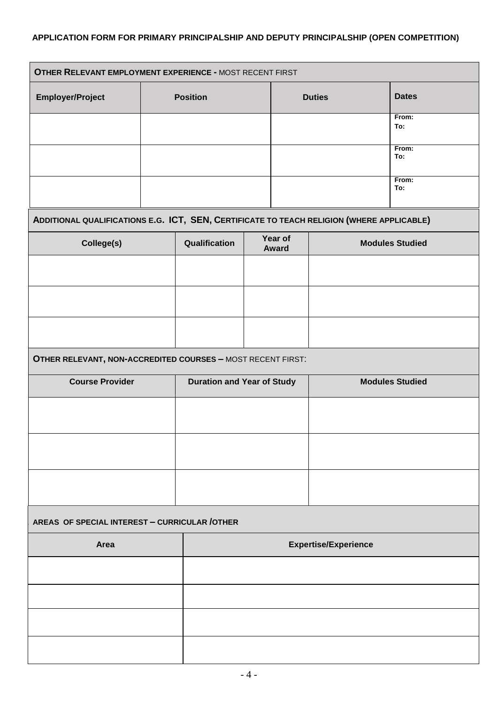| <b>Employer/Project</b>                                                                   | <b>Position</b>                   |                  | <b>Duties</b>               | <b>Dates</b>           |  |
|-------------------------------------------------------------------------------------------|-----------------------------------|------------------|-----------------------------|------------------------|--|
|                                                                                           |                                   |                  |                             | From:<br>To:           |  |
|                                                                                           |                                   |                  |                             | From:<br>To:           |  |
|                                                                                           |                                   |                  |                             | From:<br>To:           |  |
| ADDITIONAL QUALIFICATIONS E.G. ICT, SEN, CERTIFICATE TO TEACH RELIGION (WHERE APPLICABLE) |                                   |                  |                             |                        |  |
| College(s)                                                                                | Qualification                     | Year of<br>Award |                             | <b>Modules Studied</b> |  |
|                                                                                           |                                   |                  |                             |                        |  |
|                                                                                           |                                   |                  |                             |                        |  |
|                                                                                           |                                   |                  |                             |                        |  |
| OTHER RELEVANT, NON-ACCREDITED COURSES - MOST RECENT FIRST:                               |                                   |                  |                             |                        |  |
| <b>Course Provider</b>                                                                    | <b>Duration and Year of Study</b> |                  |                             | <b>Modules Studied</b> |  |
|                                                                                           |                                   |                  |                             |                        |  |
|                                                                                           |                                   |                  |                             |                        |  |
|                                                                                           |                                   |                  |                             |                        |  |
|                                                                                           |                                   |                  |                             |                        |  |
|                                                                                           |                                   |                  |                             |                        |  |
| Area                                                                                      |                                   |                  | <b>Expertise/Experience</b> |                        |  |
|                                                                                           |                                   |                  |                             |                        |  |
|                                                                                           |                                   |                  |                             |                        |  |
| AREAS OF SPECIAL INTEREST - CURRICULAR / OTHER                                            |                                   |                  |                             |                        |  |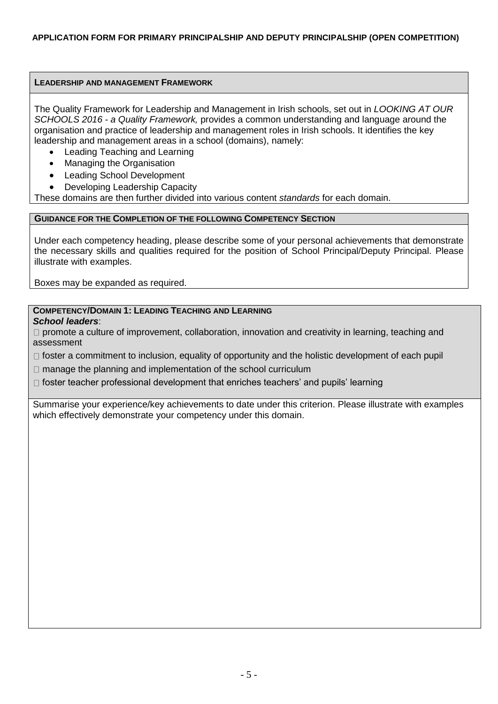# **LEADERSHIP AND MANAGEMENT FRAMEWORK**

The Quality Framework for Leadership and Management in Irish schools, set out in *LOOKING AT OUR SCHOOLS 2016 - a Quality Framework,* provides a common understanding and language around the organisation and practice of leadership and management roles in Irish schools. It identifies the key leadership and management areas in a school (domains), namely:

- Leading Teaching and Learning
- Managing the Organisation
- Leading School Development
- Developing Leadership Capacity

These domains are then further divided into various content *standards* for each domain.

### **GUIDANCE FOR THE COMPLETION OF THE FOLLOWING COMPETENCY SECTION**

Under each competency heading, please describe some of your personal achievements that demonstrate the necessary skills and qualities required for the position of School Principal/Deputy Principal. Please illustrate with examples.

Boxes may be expanded as required.

# **COMPETENCY/DOMAIN 1: LEADING TEACHING AND LEARNING**

*School leaders*:

 $\Box$  promote a culture of improvement, collaboration, innovation and creativity in learning, teaching and assessment

 $\Box$  foster a commitment to inclusion, equality of opportunity and the holistic development of each pupil

 $\Box$  manage the planning and implementation of the school curriculum

 $\Box$  foster teacher professional development that enriches teachers' and pupils' learning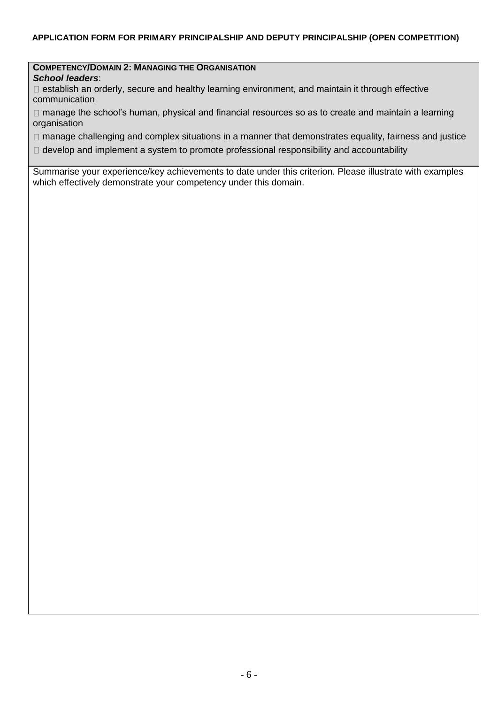#### **COMPETENCY/DOMAIN 2: MANAGING THE ORGANISATION** *School leaders*:

 $\Box$  establish an orderly, secure and healthy learning environment, and maintain it through effective communication

□ manage the school's human, physical and financial resources so as to create and maintain a learning organisation

□ manage challenging and complex situations in a manner that demonstrates equality, fairness and justice

 $\Box$  develop and implement a system to promote professional responsibility and accountability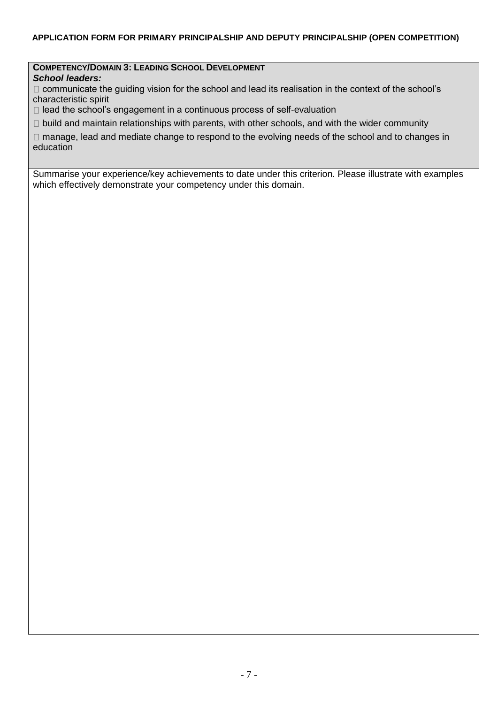## **COMPETENCY/DOMAIN 3: LEADING SCHOOL DEVELOPMENT**

*School leaders:* 

 $\Box$  communicate the quiding vision for the school and lead its realisation in the context of the school's characteristic spirit

 $\Box$  lead the school's engagement in a continuous process of self-evaluation

 $\Box$  build and maintain relationships with parents, with other schools, and with the wider community

 $\Box$  manage, lead and mediate change to respond to the evolving needs of the school and to changes in education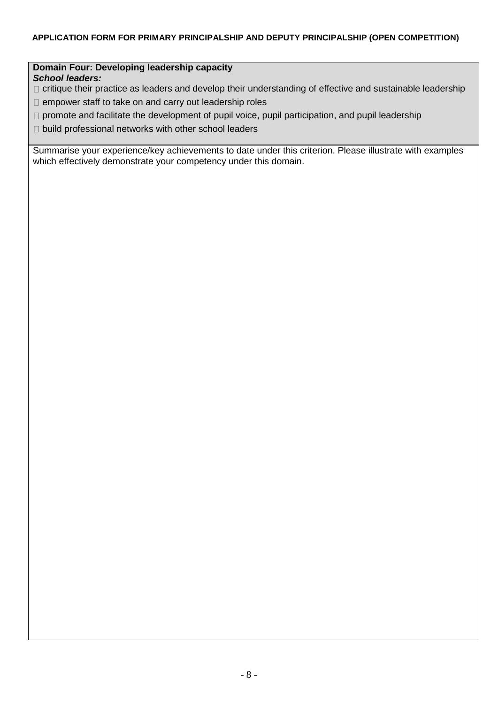### **Domain Four: Developing leadership capacity**  *School leaders:*

- $\Box$  critique their practice as leaders and develop their understanding of effective and sustainable leadership
- $\Box$  empower staff to take on and carry out leadership roles
- $\Box$  promote and facilitate the development of pupil voice, pupil participation, and pupil leadership
- $\Box$  build professional networks with other school leaders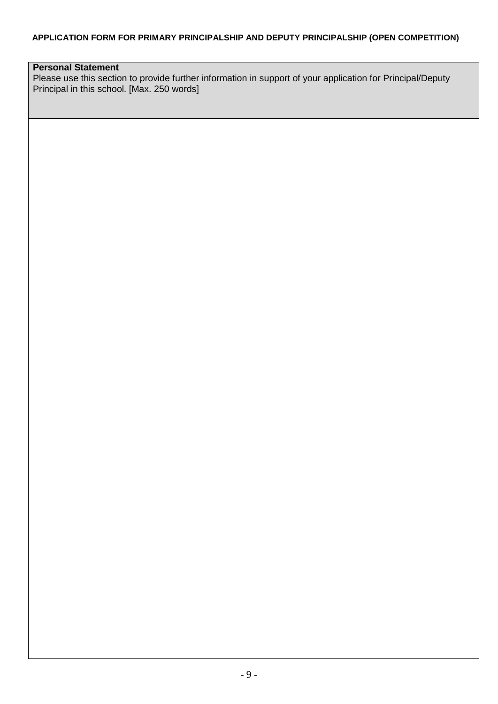# **Personal Statement**

Please use this section to provide further information in support of your application for Principal/Deputy Principal in this school. [Max. 250 words]